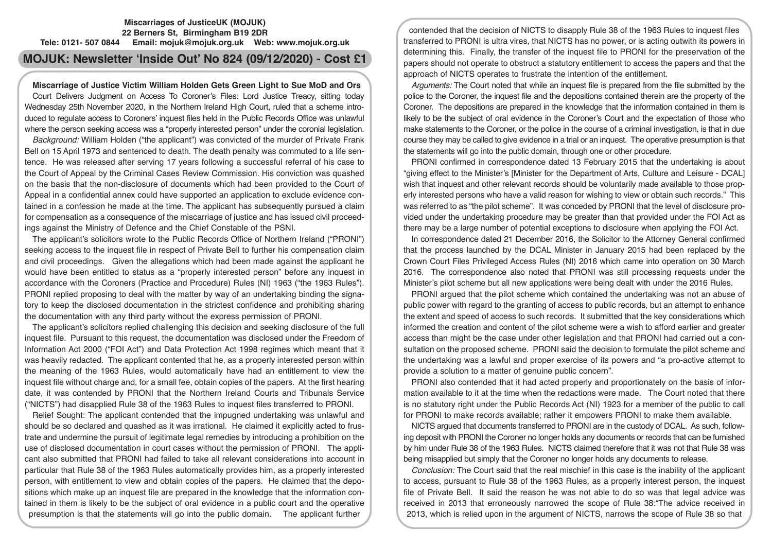# **Miscarriages of JusticeUK (MOJUK) 22 Berners St, Birmingham B19 2DR Tele: 0121- 507 0844 Email: mojuk@mojuk.org.uk Web: www.mojuk.org.uk**

# **MOJUK: Newsletter 'Inside Out' No 824 (09/12/2020) - Cost £1**

# **Miscarriage of Justice Victim William Holden Gets Green Light to Sue MoD and Ors**

Court Delivers Judgment on Access To Coroner's Files: Lord Justice Treacy, sitting today Wednesday 25th November 2020, in the Northern Ireland High Court, ruled that a scheme introduced to regulate access to Coroners' inquest files held in the Public Records Office was unlawful where the person seeking access was a "properly interested person" under the coronial legislation.

*Background:* William Holden ("the applicant") was convicted of the murder of Private Frank Bell on 15 April 1973 and sentenced to death. The death penalty was commuted to a life sentence. He was released after serving 17 years following a successful referral of his case to the Court of Appeal by the Criminal Cases Review Commission. His conviction was quashed on the basis that the non-disclosure of documents which had been provided to the Court of Appeal in a confidential annex could have supported an application to exclude evidence contained in a confession he made at the time. The applicant has subsequently pursued a claim for compensation as a consequence of the miscarriage of justice and has issued civil proceedings against the Ministry of Defence and the Chief Constable of the PSNI.

The applicant's solicitors wrote to the Public Records Office of Northern Ireland ("PRONI") seeking access to the inquest file in respect of Private Bell to further his compensation claim and civil proceedings. Given the allegations which had been made against the applicant he would have been entitled to status as a "properly interested person" before any inquest in accordance with the Coroners (Practice and Procedure) Rules (NI) 1963 ("the 1963 Rules"). PRONI replied proposing to deal with the matter by way of an undertaking binding the signatory to keep the disclosed documentation in the strictest confidence and prohibiting sharing the documentation with any third party without the express permission of PRONI.

The applicant's solicitors replied challenging this decision and seeking disclosure of the full inquest file. Pursuant to this request, the documentation was disclosed under the Freedom of Information Act 2000 ("FOI Act") and Data Protection Act 1998 regimes which meant that it was heavily redacted. The applicant contented that he, as a properly interested person within the meaning of the 1963 Rules, would automatically have had an entitlement to view the inquest file without charge and, for a small fee, obtain copies of the papers. At the first hearing date, it was contended by PRONI that the Northern Ireland Courts and Tribunals Service ("NICTS") had disapplied Rule 38 of the 1963 Rules to inquest files transferred to PRONI.

Relief Sought: The applicant contended that the impugned undertaking was unlawful and should be so declared and quashed as it was irrational. He claimed it explicitly acted to frustrate and undermine the pursuit of legitimate legal remedies by introducing a prohibition on the use of disclosed documentation in court cases without the permission of PRONI. The applicant also submitted that PRONI had failed to take all relevant considerations into account in particular that Rule 38 of the 1963 Rules automatically provides him, as a properly interested person, with entitlement to view and obtain copies of the papers. He claimed that the depositions which make up an inquest file are prepared in the knowledge that the information contained in them is likely to be the subject of oral evidence in a public court and the operative presumption is that the statements will go into the public domain. The applicant further

contended that the decision of NICTS to disapply Rule 38 of the 1963 Rules to inquest files transferred to PRONI is ultra vires, that NICTS has no power, or is acting outwith its powers in determining this. Finally, the transfer of the inquest file to PRONI for the preservation of the papers should not operate to obstruct a statutory entitlement to access the papers and that the approach of NICTS operates to frustrate the intention of the entitlement.

*Arguments:* The Court noted that while an inquest file is prepared from the file submitted by the police to the Coroner, the inquest file and the depositions contained therein are the property of the Coroner. The depositions are prepared in the knowledge that the information contained in them is likely to be the subject of oral evidence in the Coroner's Court and the expectation of those who make statements to the Coroner, or the police in the course of a criminal investigation, is that in due course they may be called to give evidence in a trial or an inquest. The operative presumption is that the statements will go into the public domain, through one or other procedure.

PRONI confirmed in correspondence dated 13 February 2015 that the undertaking is about "giving effect to the Minister's [Minister for the Department of Arts, Culture and Leisure - DCAL] wish that inquest and other relevant records should be voluntarily made available to those properly interested persons who have a valid reason for wishing to view or obtain such records." This was referred to as "the pilot scheme". It was conceded by PRONI that the level of disclosure provided under the undertaking procedure may be greater than that provided under the FOI Act as there may be a large number of potential exceptions to disclosure when applying the FOI Act.

In correspondence dated 21 December 2016, the Solicitor to the Attorney General confirmed that the process launched by the DCAL Minister in January 2015 had been replaced by the Crown Court Files Privileged Access Rules (NI) 2016 which came into operation on 30 March 2016. The correspondence also noted that PRONI was still processing requests under the Minister's pilot scheme but all new applications were being dealt with under the 2016 Rules.

PRONI argued that the pilot scheme which contained the undertaking was not an abuse of public power with regard to the granting of access to public records, but an attempt to enhance the extent and speed of access to such records. It submitted that the key considerations which informed the creation and content of the pilot scheme were a wish to afford earlier and greater access than might be the case under other legislation and that PRONI had carried out a consultation on the proposed scheme. PRONI said the decision to formulate the pilot scheme and the undertaking was a lawful and proper exercise of its powers and "a pro-active attempt to provide a solution to a matter of genuine public concern".

PRONI also contended that it had acted properly and proportionately on the basis of information available to it at the time when the redactions were made. The Court noted that there is no statutory right under the Public Records Act (NI) 1923 for a member of the public to call for PRONI to make records available; rather it empowers PRONI to make them available.

NICTS argued that documents transferred to PRONI are in the custody of DCAL. As such, following deposit with PRONI the Coroner no longer holds any documents or records that can be furnished by him under Rule 38 of the 1963 Rules. NICTS claimed therefore that it was not that Rule 38 was being misapplied but simply that the Coroner no longer holds any documents to release.

*Conclusion:* The Court said that the real mischief in this case is the inability of the applicant to access, pursuant to Rule 38 of the 1963 Rules, as a properly interest person, the inquest file of Private Bell. It said the reason he was not able to do so was that legal advice was received in 2013 that erroneously narrowed the scope of Rule 38:"The advice received in 2013, which is relied upon in the argument of NICTS, narrows the scope of Rule 38 so that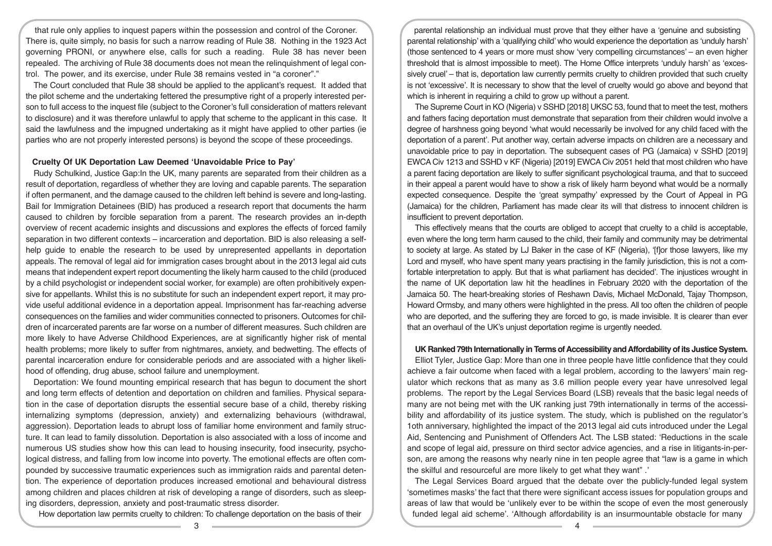that rule only applies to inquest papers within the possession and control of the Coroner. There is, quite simply, no basis for such a narrow reading of Rule 38. Nothing in the 1923 Act governing PRONI, or anywhere else, calls for such a reading. Rule 38 has never been repealed. The archiving of Rule 38 documents does not mean the relinquishment of legal control. The power, and its exercise, under Rule 38 remains vested in "a coroner"."

The Court concluded that Rule 38 should be applied to the applicant's request. It added that the pilot scheme and the undertaking fettered the presumptive right of a properly interested person to full access to the inquest file (subject to the Coroner's full consideration of matters relevant to disclosure) and it was therefore unlawful to apply that scheme to the applicant in this case. It said the lawfulness and the impugned undertaking as it might have applied to other parties (ie parties who are not properly interested persons) is beyond the scope of these proceedings.

# **Cruelty Of UK Deportation Law Deemed 'Unavoidable Price to Pay'**

Rudy Schulkind, Justice Gap:In the UK, many parents are separated from their children as a result of deportation, regardless of whether they are loving and capable parents. The separation if often permanent, and the damage caused to the children left behind is severe and long-lasting. Bail for Immigration Detainees (BID) has produced a research report that documents the harm caused to children by forcible separation from a parent. The research provides an in-depth overview of recent academic insights and discussions and explores the effects of forced family separation in two different contexts – incarceration and deportation. BID is also releasing a selfhelp guide to enable the research to be used by unrepresented appellants in deportation appeals. The removal of legal aid for immigration cases brought about in the 2013 legal aid cuts means that independent expert report documenting the likely harm caused to the child (produced by a child psychologist or independent social worker, for example) are often prohibitively expensive for appellants. Whilst this is no substitute for such an independent expert report, it may provide useful additional evidence in a deportation appeal. Imprisonment has far-reaching adverse consequences on the families and wider communities connected to prisoners. Outcomes for children of incarcerated parents are far worse on a number of different measures. Such children are more likely to have Adverse Childhood Experiences, are at significantly higher risk of mental health problems; more likely to suffer from nightmares, anxiety, and bedwetting. The effects of parental incarceration endure for considerable periods and are associated with a higher likelihood of offending, drug abuse, school failure and unemployment.

Deportation: We found mounting empirical research that has begun to document the short and long term effects of detention and deportation on children and families. Physical separation in the case of deportation disrupts the essential secure base of a child, thereby risking internalizing symptoms (depression, anxiety) and externalizing behaviours (withdrawal, aggression). Deportation leads to abrupt loss of familiar home environment and family structure. It can lead to family dissolution. Deportation is also associated with a loss of income and numerous US studies show how this can lead to housing insecurity, food insecurity, psychological distress, and falling from low income into poverty. The emotional effects are often compounded by successive traumatic experiences such as immigration raids and parental detention. The experience of deportation produces increased emotional and behavioural distress among children and places children at risk of developing a range of disorders, such as sleeping disorders, depression, anxiety and post-traumatic stress disorder.

How deportation law permits cruelty to children: To challenge deportation on the basis of their

parental relationship an individual must prove that they either have a 'genuine and subsisting parental relationship' with a 'qualifying child' who would experience the deportation as 'unduly harsh' (those sentenced to 4 years or more must show 'very compelling circumstances' – an even higher threshold that is almost impossible to meet). The Home Office interprets 'unduly harsh' as 'excessively cruel' – that is, deportation law currently permits cruelty to children provided that such cruelty is not 'excessive'. It is necessary to show that the level of cruelty would go above and beyond that which is inherent in requiring a child to grow up without a parent.

The Supreme Court in KO (Nigeria) v SSHD [2018] UKSC 53, found that to meet the test, mothers and fathers facing deportation must demonstrate that separation from their children would involve a degree of harshness going beyond 'what would necessarily be involved for any child faced with the deportation of a parent'. Put another way, certain adverse impacts on children are a necessary and unavoidable price to pay in deportation. The subsequent cases of PG (Jamaica) v SSHD [2019] EWCA Civ 1213 and SSHD v KF (Nigeria) [2019] EWCA Civ 2051 held that most children who have a parent facing deportation are likely to suffer significant psychological trauma, and that to succeed in their appeal a parent would have to show a risk of likely harm beyond what would be a normally expected consequence. Despite the 'great sympathy' expressed by the Court of Appeal in PG (Jamaica) for the children, Parliament has made clear its will that distress to innocent children is insufficient to prevent deportation.

This effectively means that the courts are obliged to accept that cruelty to a child is acceptable, even where the long term harm caused to the child, their family and community may be detrimental to society at large. As stated by LJ Baker in the case of KF (Nigeria), '[f]or those lawyers, like my Lord and myself, who have spent many years practising in the family jurisdiction, this is not a comfortable interpretation to apply. But that is what parliament has decided'. The injustices wrought in the name of UK deportation law hit the headlines in February 2020 with the deportation of the Jamaica 50. The heart-breaking stories of Reshawn Davis, Michael McDonald, Tajay Thompson, Howard Ormsby, and many others were highlighted in the press. All too often the children of people who are deported, and the suffering they are forced to go, is made invisible. It is clearer than ever that an overhaul of the UK's unjust deportation regime is urgently needed.

# **UK Ranked 79th Internationally in Terms of Accessibility and Affordability of its Justice System.**

Elliot Tyler, Justice Gap: More than one in three people have little confidence that they could achieve a fair outcome when faced with a legal problem, according to the lawyers' main regulator which reckons that as many as 3.6 million people every year have unresolved legal problems. The report by the Legal Services Board (LSB) reveals that the basic legal needs of many are not being met with the UK ranking just 79th internationally in terms of the accessibility and affordability of its justice system. The study, which is published on the regulator's 1oth anniversary, highlighted the impact of the 2013 legal aid cuts introduced under the Legal Aid, Sentencing and Punishment of Offenders Act. The LSB stated: 'Reductions in the scale and scope of legal aid, pressure on third sector advice agencies, and a rise in litigants-in-person, are among the reasons why nearly nine in ten people agree that "law is a game in which the skilful and resourceful are more likely to get what they want" .'

The Legal Services Board argued that the debate over the publicly-funded legal system 'sometimes masks' the fact that there were significant access issues for population groups and areas of law that would be 'unlikely ever to be within the scope of even the most generously funded legal aid scheme'. 'Although affordability is an insurmountable obstacle for many

 $\overline{3}$   $\overline{4}$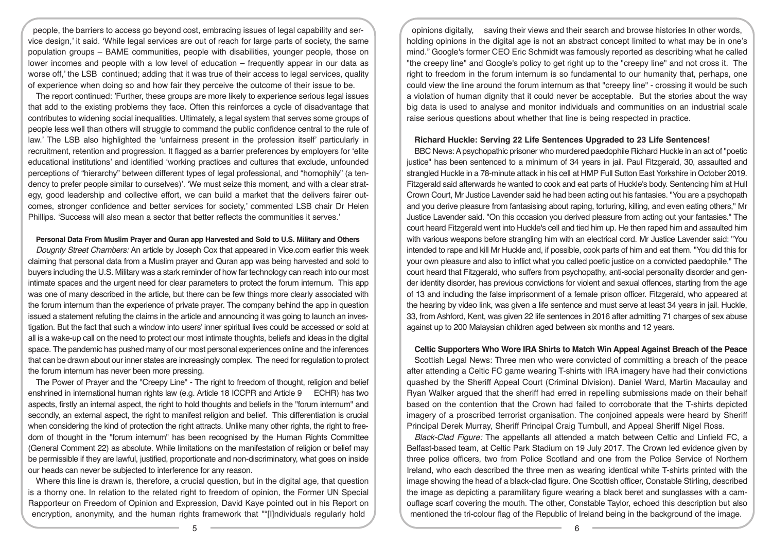people, the barriers to access go beyond cost, embracing issues of legal capability and service design,' it said. 'While legal services are out of reach for large parts of society, the same population groups – BAME communities, people with disabilities, younger people, those on lower incomes and people with a low level of education – frequently appear in our data as worse off,' the LSB continued; adding that it was true of their access to legal services, quality of experience when doing so and how fair they perceive the outcome of their issue to be.

The report continued: 'Further, these groups are more likely to experience serious legal issues that add to the existing problems they face. Often this reinforces a cycle of disadvantage that contributes to widening social inequalities. Ultimately, a legal system that serves some groups of people less well than others will struggle to command the public confidence central to the rule of law.' The LSB also highlighted the 'unfairness present in the profession itself' particularly in recruitment, retention and progression. It flagged as a barrier preferences by employers for 'elite educational institutions' and identified 'working practices and cultures that exclude, unfounded perceptions of "hierarchy" between different types of legal professional, and "homophily" (a tendency to prefer people similar to ourselves)'. 'We must seize this moment, and with a clear strategy, good leadership and collective effort, we can build a market that the delivers fairer outcomes, stronger confidence and better services for society,' commented LSB chair Dr Helen Phillips. 'Success will also mean a sector that better reflects the communities it serves.'

#### **Personal Data From Muslim Prayer and Quran app Harvested and Sold to U.S. Military and Others**

*Dougnty Street Chambers:* An article by Joseph Cox that appeared in Vice.com earlier this week claiming that personal data from a Muslim prayer and Quran app was being harvested and sold to buyers including the U.S. Military was a stark reminder of how far technology can reach into our most intimate spaces and the urgent need for clear parameters to protect the forum internum. This app was one of many described in the article, but there can be few things more clearly associated with the forum internum than the experience of private prayer. The company behind the app in question issued a statement refuting the claims in the article and announcing it was going to launch an investigation. But the fact that such a window into users' inner spiritual lives could be accessed or sold at all is a wake-up call on the need to protect our most intimate thoughts, beliefs and ideas in the digital space. The pandemic has pushed many of our most personal experiences online and the inferences that can be drawn about our inner states are increasingly complex. The need for regulation to protect the forum internum has never been more pressing.

The Power of Prayer and the "Creepy Line" - The right to freedom of thought, religion and belief enshrined in international human rights law (e.g. Article 18 ICCPR and Article 9 ECHR) has two aspects, firstly an internal aspect, the right to hold thoughts and beliefs in the "forum internum" and secondly, an external aspect, the right to manifest religion and belief. This differentiation is crucial when considering the kind of protection the right attracts. Unlike many other rights, the right to freedom of thought in the "forum internum" has been recognised by the Human Rights Committee (General Comment 22) as absolute. While limitations on the manifestation of religion or belief may be permissible if they are lawful, justified, proportionate and non-discriminatory, what goes on inside our heads can never be subjected to interference for any reason.

Where this line is drawn is, therefore, a crucial question, but in the digital age, that question is a thorny one. In relation to the related right to freedom of opinion, the Former UN Special Rapporteur on Freedom of Opinion and Expression, David Kaye pointed out in his Report on encryption, anonymity, and the human rights framework that ""[I]ndividuals regularly hold

opinions digitally, saving their views and their search and browse histories In other words, holding opinions in the digital age is not an abstract concept limited to what may be in one's mind." Google's former CEO Eric Schmidt was famously reported as describing what he called "the creepy line" and Google's policy to get right up to the "creepy line" and not cross it. The right to freedom in the forum internum is so fundamental to our humanity that, perhaps, one could view the line around the forum internum as that "creepy line" - crossing it would be such a violation of human dignity that it could never be acceptable. But the stories about the way big data is used to analyse and monitor individuals and communities on an industrial scale raise serious questions about whether that line is being respected in practice.

#### **Richard Huckle: Serving 22 Life Sentences Upgraded to 23 Life Sentences!**

BBC News: A psychopathic prisoner who murdered paedophile Richard Huckle in an act of "poetic justice" has been sentenced to a minimum of 34 years in jail. Paul Fitzgerald, 30, assaulted and strangled Huckle in a 78-minute attack in his cell at HMP Full Sutton East Yorkshire in October 2019. Fitzgerald said afterwards he wanted to cook and eat parts of Huckle's body. Sentencing him at Hull Crown Court, Mr Justice Lavender said he had been acting out his fantasies. "You are a psychopath and you derive pleasure from fantasising about raping, torturing, killing, and even eating others," Mr Justice Lavender said. "On this occasion you derived pleasure from acting out your fantasies." The court heard Fitzgerald went into Huckle's cell and tied him up. He then raped him and assaulted him with various weapons before strangling him with an electrical cord. Mr Justice Lavender said: "You intended to rape and kill Mr Huckle and, if possible, cook parts of him and eat them. "You did this for your own pleasure and also to inflict what you called poetic justice on a convicted paedophile." The court heard that Fitzgerald, who suffers from psychopathy, anti-social personality disorder and gender identity disorder, has previous convictions for violent and sexual offences, starting from the age of 13 and including the false imprisonment of a female prison officer. Fitzgerald, who appeared at the hearing by video link, was given a life sentence and must serve at least 34 years in jail. Huckle, 33, from Ashford, Kent, was given 22 life sentences in 2016 after admitting 71 charges of sex abuse against up to 200 Malaysian children aged between six months and 12 years.

# **Celtic Supporters Who Wore IRA Shirts to Match Win Appeal Against Breach of the Peace**

Scottish Legal News: Three men who were convicted of committing a breach of the peace after attending a Celtic FC game wearing T-shirts with IRA imagery have had their convictions quashed by the Sheriff Appeal Court (Criminal Division). Daniel Ward, Martin Macaulay and Ryan Walker argued that the sheriff had erred in repelling submissions made on their behalf based on the contention that the Crown had failed to corroborate that the T-shirts depicted imagery of a proscribed terrorist organisation. The conjoined appeals were heard by Sheriff Principal Derek Murray, Sheriff Principal Craig Turnbull, and Appeal Sheriff Nigel Ross.

*Black-Clad Figure:* The appellants all attended a match between Celtic and Linfield FC, a Belfast-based team, at Celtic Park Stadium on 19 July 2017. The Crown led evidence given by three police officers, two from Police Scotland and one from the Police Service of Northern Ireland, who each described the three men as wearing identical white T-shirts printed with the image showing the head of a black-clad figure. One Scottish officer, Constable Stirling, described the image as depicting a paramilitary figure wearing a black beret and sunglasses with a camouflage scarf covering the mouth. The other, Constable Taylor, echoed this description but also mentioned the tri-colour flag of the Republic of Ireland being in the background of the image.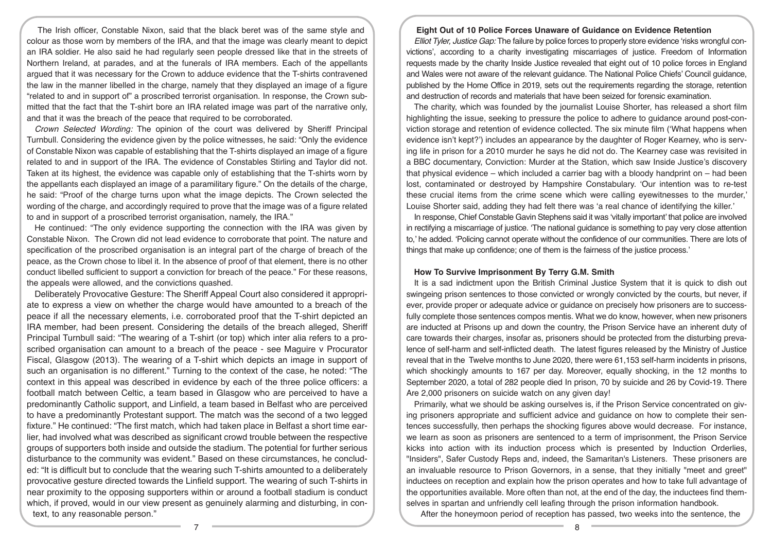The Irish officer, Constable Nixon, said that the black beret was of the same style and colour as those worn by members of the IRA, and that the image was clearly meant to depict an IRA soldier. He also said he had regularly seen people dressed like that in the streets of Northern Ireland, at parades, and at the funerals of IRA members. Each of the appellants argued that it was necessary for the Crown to adduce evidence that the T-shirts contravened the law in the manner libelled in the charge, namely that they displayed an image of a figure "related to and in support of" a proscribed terrorist organisation. In response, the Crown submitted that the fact that the T-shirt bore an IRA related image was part of the narrative only, and that it was the breach of the peace that required to be corroborated.

*Crown Selected Wording:* The opinion of the court was delivered by Sheriff Principal Turnbull. Considering the evidence given by the police witnesses, he said: "Only the evidence of Constable Nixon was capable of establishing that the T-shirts displayed an image of a figure related to and in support of the IRA. The evidence of Constables Stirling and Taylor did not. Taken at its highest, the evidence was capable only of establishing that the T-shirts worn by the appellants each displayed an image of a paramilitary figure." On the details of the charge, he said: "Proof of the charge turns upon what the image depicts. The Crown selected the wording of the charge, and accordingly required to prove that the image was of a figure related to and in support of a proscribed terrorist organisation, namely, the IRA."

He continued: "The only evidence supporting the connection with the IRA was given by Constable Nixon. The Crown did not lead evidence to corroborate that point. The nature and specification of the proscribed organisation is an integral part of the charge of breach of the peace, as the Crown chose to libel it. In the absence of proof of that element, there is no other conduct libelled sufficient to support a conviction for breach of the peace." For these reasons, the appeals were allowed, and the convictions quashed.

Deliberately Provocative Gesture: The Sheriff Appeal Court also considered it appropriate to express a view on whether the charge would have amounted to a breach of the peace if all the necessary elements, i.e. corroborated proof that the T-shirt depicted an IRA member, had been present. Considering the details of the breach alleged, Sheriff Principal Turnbull said: "The wearing of a T-shirt (or top) which inter alia refers to a proscribed organisation can amount to a breach of the peace - see Maguire v Procurator Fiscal, Glasgow (2013). The wearing of a T-shirt which depicts an image in support of such an organisation is no different." Turning to the context of the case, he noted: "The context in this appeal was described in evidence by each of the three police officers: a football match between Celtic, a team based in Glasgow who are perceived to have a predominantly Catholic support, and Linfield, a team based in Belfast who are perceived to have a predominantly Protestant support. The match was the second of a two legged fixture." He continued: "The first match, which had taken place in Belfast a short time earlier, had involved what was described as significant crowd trouble between the respective groups of supporters both inside and outside the stadium. The potential for further serious disturbance to the community was evident." Based on these circumstances, he concluded: "It is difficult but to conclude that the wearing such T-shirts amounted to a deliberately provocative gesture directed towards the Linfield support. The wearing of such T-shirts in near proximity to the opposing supporters within or around a football stadium is conduct which, if proved, would in our view present as genuinely alarming and disturbing, in context, to any reasonable person."

# **Eight Out of 10 Police Forces Unaware of Guidance on Evidence Retention**

*Elliot Tyler, Justice Gap:* The failure by police forces to properly store evidence 'risks wrongful convictions', according to a charity investigating miscarriages of justice. Freedom of Information requests made by the charity Inside Justice revealed that eight out of 10 police forces in England and Wales were not aware of the relevant guidance. The National Police Chiefs' Council guidance, published by the Home Office in 2019, sets out the requirements regarding the storage, retention and destruction of records and materials that have been seized for forensic examination.

The charity, which was founded by the journalist Louise Shorter, has released a short film highlighting the issue, seeking to pressure the police to adhere to guidance around post-conviction storage and retention of evidence collected. The six minute film ('What happens when evidence isn't kept?') includes an appearance by the daughter of Roger Kearney, who is serving life in prison for a 2010 murder he says he did not do. The Kearney case was revisited in a BBC documentary, Conviction: Murder at the Station, which saw Inside Justice's discovery that physical evidence – which included a carrier bag with a bloody handprint on – had been lost, contaminated or destroyed by Hampshire Constabulary. 'Our intention was to re-test these crucial items from the crime scene which were calling eyewitnesses to the murder,' Louise Shorter said, adding they had felt there was 'a real chance of identifying the killer.'

In response, Chief Constable Gavin Stephens said it was 'vitally important' that police are involved in rectifying a miscarriage of justice. 'The national guidance is something to pay very close attention to,' he added. 'Policing cannot operate without the confidence of our communities. There are lots of things that make up confidence; one of them is the fairness of the justice process.'

#### **How To Survive Imprisonment By Terry G.M. Smith**

It is a sad indictment upon the British Criminal Justice System that it is quick to dish out swingeing prison sentences to those convicted or wrongly convicted by the courts, but never, if ever, provide proper or adequate advice or guidance on precisely how prisoners are to successfully complete those sentences compos mentis. What we do know, however, when new prisoners are inducted at Prisons up and down the country, the Prison Service have an inherent duty of care towards their charges, insofar as, prisoners should be protected from the disturbing prevalence of self-harm and self-inflicted death. The latest figures released by the Ministry of Justice reveal that in the Twelve months to June 2020, there were 61,153 self-harm incidents in prisons, which shockingly amounts to 167 per day. Moreover, equally shocking, in the 12 months to September 2020, a total of 282 people died In prison, 70 by suicide and 26 by Covid-19. There Are 2,000 prisoners on suicide watch on any given day!

Primarily, what we should be asking ourselves is, if the Prison Service concentrated on giving prisoners appropriate and sufficient advice and guidance on how to complete their sentences successfully, then perhaps the shocking figures above would decrease. For instance, we learn as soon as prisoners are sentenced to a term of imprisonment, the Prison Service kicks into action with its induction process which is presented by Induction Orderlies, "Insiders", Safer Custody Reps and, indeed, the Samaritan's Listeners. These prisoners are an invaluable resource to Prison Governors, in a sense, that they initially "meet and greet" inductees on reception and explain how the prison operates and how to take full advantage of the opportunities available. More often than not, at the end of the day, the inductees find themselves in spartan and unfriendly cell leafing through the prison information handbook.

After the honeymoon period of reception has passed, two weeks into the sentence, the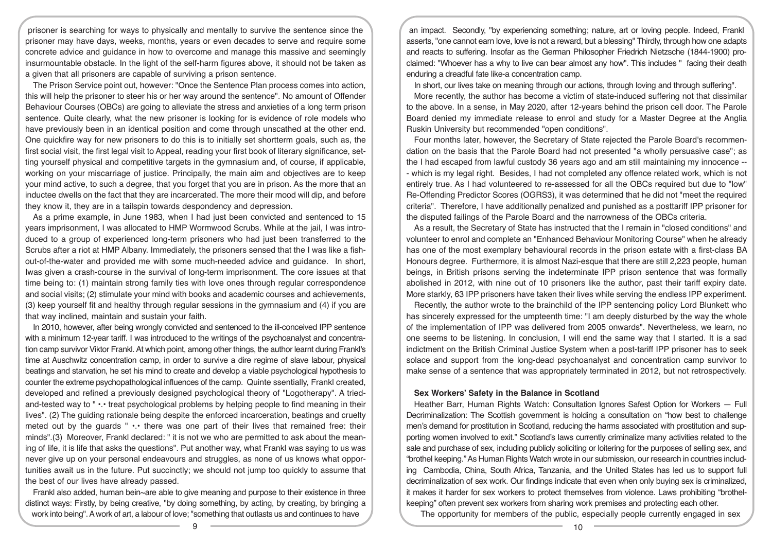prisoner is searching for ways to physically and mentally to survive the sentence since the prisoner may have days, weeks, months, years or even decades to serve and require some concrete advice and guidance in how to overcome and manage this massive and seemingly insurmountable obstacle. In the light of the self-harm figures above, it should not be taken as a given that all prisoners are capable of surviving a prison sentence.

The Prison Service point out, however: "Once the Sentence Plan process comes into action, this will help the prisoner to steer his or her way around the sentence". No amount of Offender Behaviour Courses (OBCs) are going to alleviate the stress and anxieties of a long term prison sentence. Quite clearly, what the new prisoner is looking for is evidence of role models who have previously been in an identical position and come through unscathed at the other end. One quickfire way for new prisoners to do this is to initially set short term goals, such as, the first social visit, the first legal visit to Appeal, reading your first book of literary significance, setting yourself physical and competitive targets in the gymnasium and, of course, if applicable, working on your miscarriage of justice. Principally, the main aim and objectives are to keep your mind active, to such a degree, that you forget that you are in prison. As the more that an inductee dwells on the fact that they are incarcerated. The more their mood will dip, and before they know it, they are in a tailspin towards despondency and depression.

As a prime example, in June 1983, when I had just been convicted and sentenced to 15 years imprisonment, I was allocated to HMP Wormwood Scrubs. While at the jail, I was introduced to a group of experienced long-term prisoners who had just been transferred to the Scrubs after a riot at HMP Albany. Immediately, the prisoners sensed that the I was like a fishout-of-the-water and provided me with some much-needed advice and guidance. In short, Iwas given a crash-course in the survival of long-term imprisonment. The core issues at that time being to: (1) maintain strong family ties with love ones through regular correspondence and social visits; (2) stimulate your mind with books and academic courses and achievements, (3) keep yourself fit and healthy through regular sessions in the gymnasium and (4) if you are that way inclined, maintain and sustain your faith.

In 2010, however, after being wrongly convicted and sentenced to the ill-conceived IPP sentence with a minimum 12-year tariff. I was introduced to the writings of the psychoanalyst and concentration camp survivor Viktor Frankl. At which point, among other things, the author learnt during Frankl's time at Auschwitz concentration camp, in order to survive a dire regime of slave labour, physical beatings and starvation, he set his mind to create and develop a viable psychological hypothesis to counter the extreme psychopathological influences of the camp. Quinte ssentially, Frankl created, developed and refined a previously designed psychological theory of "Logotherapy". A triedand-tested way to " •.• treat psychological problems by helping people to find meaning in their lives". (2) The guiding rationale being despite the enforced incarceration, beatings and cruelty meted out by the guards " •.• there was one part of their lives that remained free: their minds".(3) Moreover, Frankl declared: " it is not we who are permitted to ask about the meaning of life, it is life that asks the questions". Put another way, what Frankl was saying to us was never give up on your personal endeavours and struggles, as none of us knows what opportunities await us in the future. Put succinctly; we should not jump too quickly to assume that the best of our lives have already passed.

Frankl also added, human bein~are able to give meaning and purpose to their existence in three distinct ways: Firstly, by being creative, "by doing something, by acting, by creating, by bringing a work into being". A work of art, a labour of love; "something that outlasts us and continues to have

an impact. Secondly, "by experiencing something; nature, art or loving people. Indeed, Frankl asserts, "one cannot earn love, love is not a reward, but a blessing" Thirdly, through how one adapts and reacts to suffering. Insofar as the German Philosopher Friedrich Nietzsche (1844-1900) proclaimed: "Whoever has a why to live can bear almost any how". This includes " facing their death enduring a dreadful fate like-a concentration camp.

In short, our lives take on meaning through our actions, through loving and through suffering".

More recently, the author has become a victim of state-induced suffering not that dissimilar to the above. In a sense, in May 2020, after 12-years behind the prison cell door. The Parole Board denied my immediate release to enrol and study for a Master Degree at the Anglia Ruskin University but recommended "open conditions".

Four months later, however, the Secretary of State rejected the Parole Board's recommendation on the basis that the Parole Board had not presented "a wholly persuasive case"; as the I had escaped from lawful custody 36 years ago and am still maintaining my innocence -- - which is my legal right. Besides, I had not completed any offence related work, which is not entirely true. As I had volunteered to re-assessed for all the OBCs required but due to "low" Re-Offending Predictor Scores (OGRS3), it was determined that he did not "meet the required criteria". Therefore, I have additionally penalized and punished as a posttariff IPP prisoner for the disputed failings of the Parole Board and the narrowness of the OBCs criteria.

As a result, the Secretary of State has instructed that the I remain in "closed conditions" and volunteer to enrol and complete an "Enhanced Behaviour Monitoring Course" when he already has one of the most exemplary behavioural records in the prison estate with a first-class BA Honours degree. Furthermore, it is almost Nazi-esque that there are still 2,223 people, human beings, in British prisons serving the indeterminate IPP prison sentence that was formally abolished in 2012, with nine out of 10 prisoners like the author, past their tariff expiry date. More starkly, 63 IPP prisoners have taken their lives while serving the endless IPP experiment.

Recently, the author wrote to the brainchild of the IPP sentencing policy Lord Blunkett who has sincerely expressed for the umpteenth time: "I am deeply disturbed by the way the whole of the implementation of IPP was delivered from 2005 onwards". Nevertheless, we learn, no one seems to be listening. In conclusion, I will end the same way that I started. It is a sad indictment on the British Criminal Justice System when a post-tariff IPP prisoner has to seek solace and support from the long-dead psychoanalyst and concentration camp survivor to make sense of a sentence that was appropriately terminated in 2012, but not retrospectively.

#### **Sex Workers' Safety in the Balance in Scotland**

Heather Barr, Human Rights Watch: Consultation Ignores Safest Option for Workers — Full Decriminalization: The Scottish government is holding a consultation on "how best to challenge men's demand for prostitution in Scotland, reducing the harms associated with prostitution and supporting women involved to exit." Scotland's laws currently criminalize many activities related to the sale and purchase of sex, including publicly soliciting or loitering for the purposes of selling sex, and "brothel keeping." As Human Rights Watch wrote in our submission, our research in countries including Cambodia, China, South Africa, Tanzania, and the United States has led us to support full decriminalization of sex work. Our findings indicate that even when only buying sex is criminalized, it makes it harder for sex workers to protect themselves from violence. Laws prohibiting "brothelkeeping" often prevent sex workers from sharing work premises and protecting each other.

The opportunity for members of the public, especially people currently engaged in sex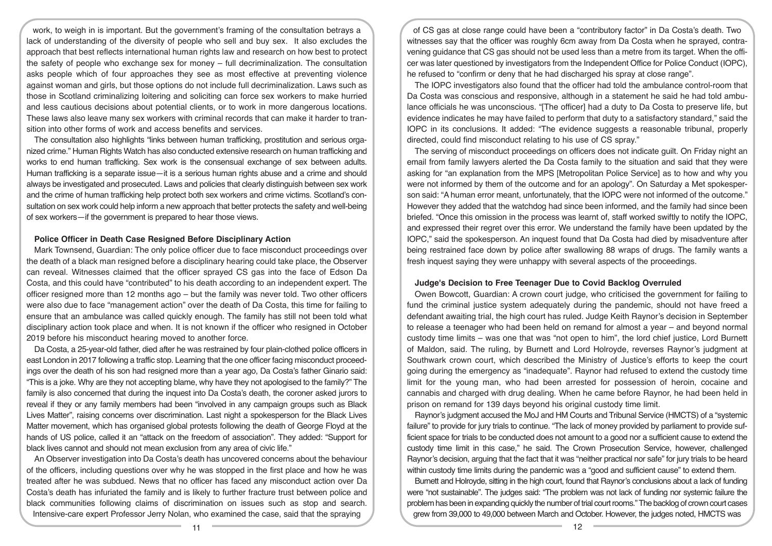work, to weigh in is important. But the government's framing of the consultation betrays a lack of understanding of the diversity of people who sell and buy sex. It also excludes the approach that best reflects international human rights law and research on how best to protect the safety of people who exchange sex for money – full decriminalization. The consultation asks people which of four approaches they see as most effective at preventing violence against woman and girls, but those options do not include full decriminalization. Laws such as those in Scotland criminalizing loitering and soliciting can force sex workers to make hurried and less cautious decisions about potential clients, or to work in more dangerous locations. These laws also leave many sex workers with criminal records that can make it harder to transition into other forms of work and access benefits and services.

The consultation also highlights "links between human trafficking, prostitution and serious organized crime." Human Rights Watch has also conducted extensive research on human trafficking and works to end human trafficking. Sex work is the consensual exchange of sex between adults. Human trafficking is a separate issue—it is a serious human rights abuse and a crime and should always be investigated and prosecuted. Laws and policies that clearly distinguish between sex work and the crime of human trafficking help protect both sex workers and crime victims. Scotland's consultation on sex work could help inform a new approach that better protects the safety and well-being of sex workers—if the government is prepared to hear those views.

# **Police Officer in Death Case Resigned Before Disciplinary Action**

Mark Townsend, Guardian: The only police officer due to face misconduct proceedings over the death of a black man resigned before a disciplinary hearing could take place, the Observer can reveal. Witnesses claimed that the officer sprayed CS gas into the face of Edson Da Costa, and this could have "contributed" to his death according to an independent expert. The officer resigned more than 12 months ago – but the family was never told. Two other officers were also due to face "management action" over the death of Da Costa, this time for failing to ensure that an ambulance was called quickly enough. The family has still not been told what disciplinary action took place and when. It is not known if the officer who resigned in October 2019 before his misconduct hearing moved to another force.

Da Costa, a 25-year-old father, died after he was restrained by four plain-clothed police officers in east London in 2017 following a traffic stop. Learning that the one officer facing misconduct proceedings over the death of his son had resigned more than a year ago, Da Costa's father Ginario said: "This is a joke. Why are they not accepting blame, why have they not apologised to the family?" The family is also concerned that during the inquest into Da Costa's death, the coroner asked jurors to reveal if they or any family members had been "involved in any campaign groups such as Black Lives Matter", raising concerns over discrimination. Last night a spokesperson for the Black Lives Matter movement, which has organised global protests following the death of George Floyd at the hands of US police, called it an "attack on the freedom of association". They added: "Support for black lives cannot and should not mean exclusion from any area of civic life."

An Observer investigation into Da Costa's death has uncovered concerns about the behaviour of the officers, including questions over why he was stopped in the first place and how he was treated after he was subdued. News that no officer has faced any misconduct action over Da Costa's death has infuriated the family and is likely to further fracture trust between police and black communities following claims of discrimination on issues such as stop and search. Intensive-care expert Professor Jerry Nolan, who examined the case, said that the spraying

of CS gas at close range could have been a "contributory factor" in Da Costa's death. Two witnesses say that the officer was roughly 6cm away from Da Costa when he sprayed, contravening guidance that CS gas should not be used less than a metre from its target. When the officer was later questioned by investigators from the Independent Office for Police Conduct (IOPC), he refused to "confirm or deny that he had discharged his spray at close range".

The IOPC investigators also found that the officer had told the ambulance control-room that Da Costa was conscious and responsive, although in a statement he said he had told ambulance officials he was unconscious. "[The officer] had a duty to Da Costa to preserve life, but evidence indicates he may have failed to perform that duty to a satisfactory standard," said the IOPC in its conclusions. It added: "The evidence suggests a reasonable tribunal, properly directed, could find misconduct relating to his use of CS spray."

The serving of misconduct proceedings on officers does not indicate guilt. On Friday night an email from family lawyers alerted the Da Costa family to the situation and said that they were asking for "an explanation from the MPS [Metropolitan Police Service] as to how and why you were not informed by them of the outcome and for an apology". On Saturday a Met spokesperson said: "A human error meant, unfortunately, that the IOPC were not informed of the outcome." However they added that the watchdog had since been informed, and the family had since been briefed. "Once this omission in the process was learnt of, staff worked swiftly to notify the IOPC, and expressed their regret over this error. We understand the family have been updated by the IOPC," said the spokesperson. An inquest found that Da Costa had died by misadventure after being restrained face down by police after swallowing 88 wraps of drugs. The family wants a fresh inquest saying they were unhappy with several aspects of the proceedings.

# **Judge's Decision to Free Teenager Due to Covid Backlog Overruled**

Owen Bowcott, Guardian: A crown court judge, who criticised the government for failing to fund the criminal justice system adequately during the pandemic, should not have freed a defendant awaiting trial, the high court has ruled. Judge Keith Raynor's decision in September to release a teenager who had been held on remand for almost a year – and beyond normal custody time limits – was one that was "not open to him", the lord chief justice, Lord Burnett of Maldon, said. The ruling, by Burnett and Lord Holroyde, reverses Raynor's judgment at Southwark crown court, which described the Ministry of Justice's efforts to keep the court going during the emergency as "inadequate". Raynor had refused to extend the custody time limit for the young man, who had been arrested for possession of heroin, cocaine and cannabis and charged with drug dealing. When he came before Raynor, he had been held in prison on remand for 139 days beyond his original custody time limit.

Raynor's judgment accused the MoJ and HM Courts and Tribunal Service (HMCTS) of a "systemic failure" to provide for jury trials to continue. "The lack of money provided by parliament to provide sufficient space for trials to be conducted does not amount to a good nor a sufficient cause to extend the custody time limit in this case," he said. The Crown Prosecution Service, however, challenged Raynor's decision, arguing that the fact that it was "neither practical nor safe" for jury trials to be heard within custody time limits during the pandemic was a "good and sufficient cause" to extend them.

Burnett and Holroyde, sitting in the high court, found that Raynor's conclusions about a lack of funding were "not sustainable". The judges said: "The problem was not lack of funding nor systemic failure the problem has been in expanding quickly the number of trial court rooms." The backlog of crown court cases grew from 39,000 to 49,000 between March and October. However, the judges noted, HMCTS was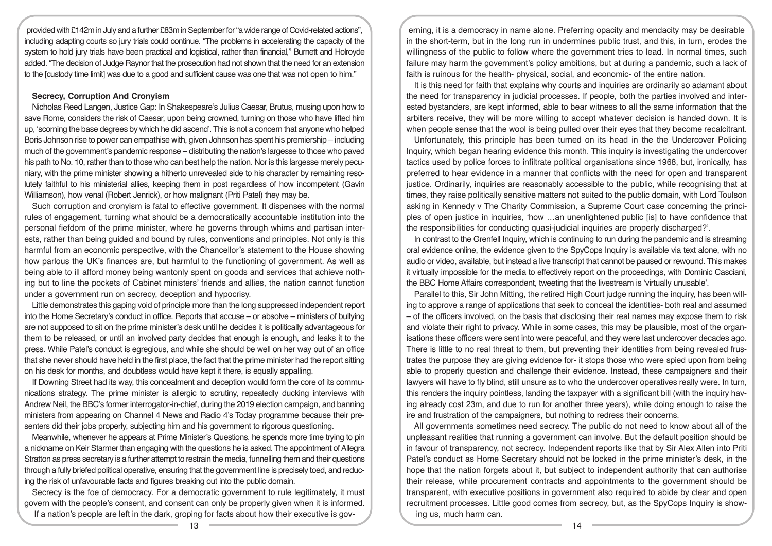provided with £142m in July and a further £83m in September for "a wide range of Covid-related actions", including adapting courts so jury trials could continue. "The problems in accelerating the capacity of the system to hold jury trials have been practical and logistical, rather than financial," Burnett and Holroyde added. "The decision of Judge Raynor that the prosecution had not shown that the need for an extension to the [custody time limit] was due to a good and sufficient cause was one that was not open to him."

# **Secrecy, Corruption And Cronyism**

Nicholas Reed Langen, Justice Gap: In Shakespeare's Julius Caesar, Brutus, musing upon how to save Rome, considers the risk of Caesar, upon being crowned, turning on those who have lifted him up, 'scorning the base degrees by which he did ascend'. This is not a concern that anyone who helped Boris Johnson rise to power can empathise with, given Johnson has spent his premiership – including much of the government's pandemic response – distributing the nation's largesse to those who paved his path to No. 10, rather than to those who can best help the nation. Nor is this largesse merely pecuniary, with the prime minister showing a hitherto unrevealed side to his character by remaining resolutely faithful to his ministerial allies, keeping them in post regardless of how incompetent (Gavin Williamson), how venal (Robert Jenrick), or how malignant (Priti Patel) they may be.

Such corruption and cronyism is fatal to effective government. It dispenses with the normal rules of engagement, turning what should be a democratically accountable institution into the personal fiefdom of the prime minister, where he governs through whims and partisan interests, rather than being guided and bound by rules, conventions and principles. Not only is this harmful from an economic perspective, with the Chancellor's statement to the House showing how parlous the UK's finances are, but harmful to the functioning of government. As well as being able to ill afford money being wantonly spent on goods and services that achieve nothing but to line the pockets of Cabinet ministers' friends and allies, the nation cannot function under a government run on secrecy, deception and hypocrisy.

Little demonstrates this gaping void of principle more than the long suppressed independent report into the Home Secretary's conduct in office. Reports that accuse – or absolve – ministers of bullying are not supposed to sit on the prime minister's desk until he decides it is politically advantageous for them to be released, or until an involved party decides that enough is enough, and leaks it to the press. While Patel's conduct is egregious, and while she should be well on her way out of an office that she never should have held in the first place, the fact that the prime minister had the report sitting on his desk for months, and doubtless would have kept it there, is equally appalling.

If Downing Street had its way, this concealment and deception would form the core of its communications strategy. The prime minister is allergic to scrutiny, repeatedly ducking interviews with Andrew Neil, the BBC's former interrogator-in-chief, during the 2019 election campaign, and banning ministers from appearing on Channel 4 News and Radio 4's Today programme because their presenters did their jobs properly, subjecting him and his government to rigorous questioning.

Meanwhile, whenever he appears at Prime Minister's Questions, he spends more time trying to pin a nickname on Keir Starmer than engaging with the questions he is asked. The appointment of Allegra Stratton as press secretary is a further attempt to restrain the media, funnelling them and their questions through a fully briefed political operative, ensuring that the government line is precisely toed, and reducing the risk of unfavourable facts and figures breaking out into the public domain.

Secrecy is the foe of democracy. For a democratic government to rule legitimately, it must govern with the people's consent, and consent can only be properly given when it is informed.

If a nation's people are left in the dark, groping for facts about how their executive is gov-

erning, it is a democracy in name alone. Preferring opacity and mendacity may be desirable in the short-term, but in the long run in undermines public trust, and this, in turn, erodes the willingness of the public to follow where the government tries to lead. In normal times, such failure may harm the government's policy ambitions, but at during a pandemic, such a lack of faith is ruinous for the health- physical, social, and economic- of the entire nation.

It is this need for faith that explains why courts and inquiries are ordinarily so adamant about the need for transparency in judicial processes. If people, both the parties involved and interested bystanders, are kept informed, able to bear witness to all the same information that the arbiters receive, they will be more willing to accept whatever decision is handed down. It is when people sense that the wool is being pulled over their eyes that they become recalcitrant.

Unfortunately, this principle has been turned on its head in the the Undercover Policing Inquiry, which began hearing evidence this month. This inquiry is investigating the undercover tactics used by police forces to infiltrate political organisations since 1968, but, ironically, has preferred to hear evidence in a manner that conflicts with the need for open and transparent justice. Ordinarily, inquiries are reasonably accessible to the public, while recognising that at times, they raise politically sensitive matters not suited to the public domain, with Lord Toulson asking in Kennedy v The Charity Commission, a Supreme Court case concerning the principles of open justice in inquiries, 'how …an unenlightened public [is] to have confidence that the responsibilities for conducting quasi-judicial inquiries are properly discharged?'.

In contrast to the Grenfell Inquiry, which is continuing to run during the pandemic and is streaming oral evidence online, the evidence given to the SpyCops Inquiry is available via text alone, with no audio or video, available, but instead a live transcript that cannot be paused or rewound. This makes it virtually impossible for the media to effectively report on the proceedings, with Dominic Casciani, the BBC Home Affairs correspondent, tweeting that the livestream is 'virtually unusable'.

Parallel to this, Sir John Mitting, the retired High Court judge running the inquiry, has been willing to approve a range of applications that seek to conceal the identities- both real and assumed – of the officers involved, on the basis that disclosing their real names may expose them to risk and violate their right to privacy. While in some cases, this may be plausible, most of the organisations these officers were sent into were peaceful, and they were last undercover decades ago. There is little to no real threat to them, but preventing their identities from being revealed frustrates the purpose they are giving evidence for- it stops those who were spied upon from being able to properly question and challenge their evidence. Instead, these campaigners and their lawyers will have to fly blind, still unsure as to who the undercover operatives really were. In turn, this renders the inquiry pointless, landing the taxpayer with a significant bill (with the inquiry having already cost 23m, and due to run for another three years), while doing enough to raise the ire and frustration of the campaigners, but nothing to redress their concerns.

All governments sometimes need secrecy. The public do not need to know about all of the unpleasant realities that running a government can involve. But the default position should be in favour of transparency, not secrecy. Independent reports like that by Sir Alex Allen into Priti Patel's conduct as Home Secretary should not be locked in the prime minister's desk, in the hope that the nation forgets about it, but subject to independent authority that can authorise their release, while procurement contracts and appointments to the government should be transparent, with executive positions in government also required to abide by clear and open recruitment processes. Little good comes from secrecy, but, as the SpyCops Inquiry is showing us, much harm can.